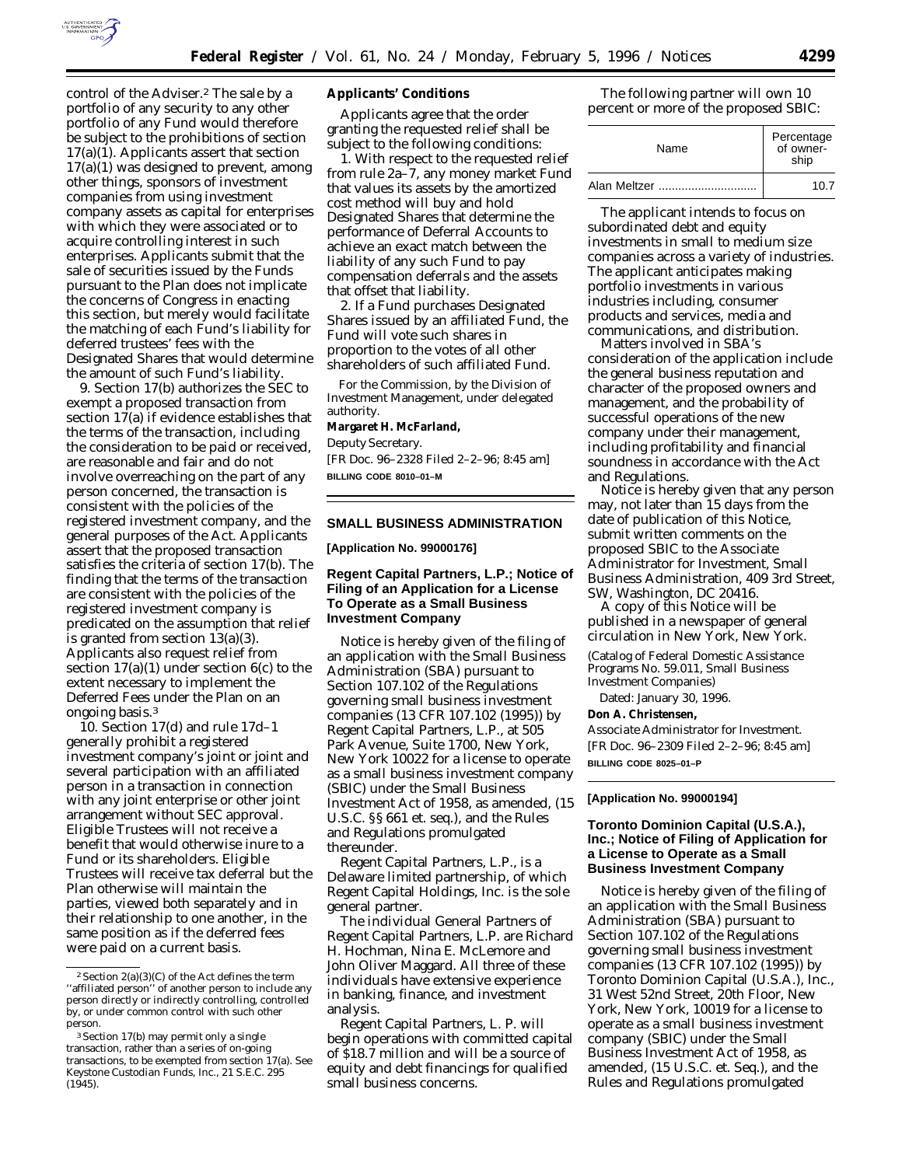

control of the Adviser.2 The sale by a portfolio of any security to any other portfolio of any Fund would therefore be subject to the prohibitions of section 17(a)(1). Applicants assert that section 17(a)(1) was designed to prevent, among other things, sponsors of investment companies from using investment company assets as capital for enterprises with which they were associated or to acquire controlling interest in such enterprises. Applicants submit that the sale of securities issued by the Funds pursuant to the Plan does not implicate the concerns of Congress in enacting this section, but merely would facilitate the matching of each Fund's liability for deferred trustees' fees with the Designated Shares that would determine the amount of such Fund's liability.

9. Section 17(b) authorizes the SEC to exempt a proposed transaction from section 17(a) if evidence establishes that the terms of the transaction, including the consideration to be paid or received, are reasonable and fair and do not involve overreaching on the part of any person concerned, the transaction is consistent with the policies of the registered investment company, and the general purposes of the Act. Applicants assert that the proposed transaction satisfies the criteria of section 17(b). The finding that the terms of the transaction are consistent with the policies of the registered investment company is predicated on the assumption that relief is granted from section 13(a)(3). Applicants also request relief from section  $17(a)(1)$  under section  $6(c)$  to the extent necessary to implement the Deferred Fees under the Plan on an ongoing basis.3

10. Section 17(d) and rule 17d–1 generally prohibit a registered investment company's joint or joint and several participation with an affiliated person in a transaction in connection with any joint enterprise or other joint arrangement without SEC approval. Eligible Trustees will not receive a benefit that would otherwise inure to a Fund or its shareholders. Eligible Trustees will receive tax deferral but the Plan otherwise will maintain the parties, viewed both separately and in their relationship to one another, in the same position as if the deferred fees were paid on a current basis.

#### **Applicants' Conditions**

Applicants agree that the order granting the requested relief shall be subject to the following conditions:

1. With respect to the requested relief from rule 2a–7, any money market Fund that values its assets by the amortized cost method will buy and hold Designated Shares that determine the performance of Deferral Accounts to achieve an exact match between the liability of any such Fund to pay compensation deferrals and the assets that offset that liability.

2. If a Fund purchases Designated Shares issued by an affiliated Fund, the Fund will vote such shares in proportion to the votes of all other shareholders of such affiliated Fund.

For the Commission, by the Division of Investment Management, under delegated authority. **Margaret H. McFarland,** *Deputy Secretary.* [FR Doc. 96–2328 Filed 2–2–96; 8:45 am] **BILLING CODE 8010–01–M**

### **SMALL BUSINESS ADMINISTRATION**

**[Application No. 99000176]**

## **Regent Capital Partners, L.P.; Notice of Filing of an Application for a License To Operate as a Small Business Investment Company**

Notice is hereby given of the filing of an application with the Small Business Administration (SBA) pursuant to Section 107.102 of the Regulations governing small business investment companies (13 CFR 107.102 (1995)) by Regent Capital Partners, L.P., at 505 Park Avenue, Suite 1700, New York, New York 10022 for a license to operate as a small business investment company (SBIC) under the Small Business Investment Act of 1958, as amended, (15 U.S.C. §§ 661 et. seq.), and the Rules and Regulations promulgated thereunder.

Regent Capital Partners, L.P., is a Delaware limited partnership, of which Regent Capital Holdings, Inc. is the sole general partner.

The individual General Partners of Regent Capital Partners, L.P. are Richard H. Hochman, Nina E. McLemore and John Oliver Maggard. All three of these individuals have extensive experience in banking, finance, and investment analysis.

Regent Capital Partners, L. P. will begin operations with committed capital of \$18.7 million and will be a source of equity and debt financings for qualified small business concerns.

The following partner will own 10 percent or more of the proposed SBIC:

| Name         | Percentage<br>-of owner<br>ship |
|--------------|---------------------------------|
| Alan Meltzer | 10.7                            |

The applicant intends to focus on subordinated debt and equity investments in small to medium size companies across a variety of industries. The applicant anticipates making portfolio investments in various industries including, consumer products and services, media and communications, and distribution.

Matters involved in SBA's consideration of the application include the general business reputation and character of the proposed owners and management, and the probability of successful operations of the new company under their management, including profitability and financial soundness in accordance with the Act and Regulations.

Notice is hereby given that any person may, not later than 15 days from the date of publication of this Notice, submit written comments on the proposed SBIC to the Associate Administrator for Investment, Small Business Administration, 409 3rd Street, SW, Washington, DC 20416.

A copy of this Notice will be published in a newspaper of general circulation in New York, New York.

(Catalog of Federal Domestic Assistance Programs No. 59.011, Small Business Investment Companies)

Dated: January 30, 1996.

**Don A. Christensen,**

*Associate Administrator for Investment.* [FR Doc. 96–2309 Filed 2–2–96; 8:45 am] **BILLING CODE 8025–01–P**

# **[Application No. 99000194]**

# **Toronto Dominion Capital (U.S.A.), Inc.; Notice of Filing of Application for a License to Operate as a Small Business Investment Company**

Notice is hereby given of the filing of an application with the Small Business Administration (SBA) pursuant to Section 107.102 of the Regulations governing small business investment companies (13 CFR 107.102 (1995)) by Toronto Dominion Capital (U.S.A.), Inc., 31 West 52nd Street, 20th Floor, New York, New York, 10019 for a license to operate as a small business investment company (SBIC) under the Small Business Investment Act of 1958, as amended, (15 U.S.C. et. Seq.), and the Rules and Regulations promulgated

<sup>&</sup>lt;sup>2</sup> Section  $2(a)(3)(C)$  of the Act defines the term ''affiliated person'' of another person to include any person directly or indirectly controlling, controlled by, or under common control with such other person.

<sup>3</sup>Section 17(b) may permit only a single transaction, rather than a series of on-going transactions, to be exempted from section 17(a). *See Keystone Custodian Funds, Inc.,* 21 S.E.C. 295  $(1945)$ .